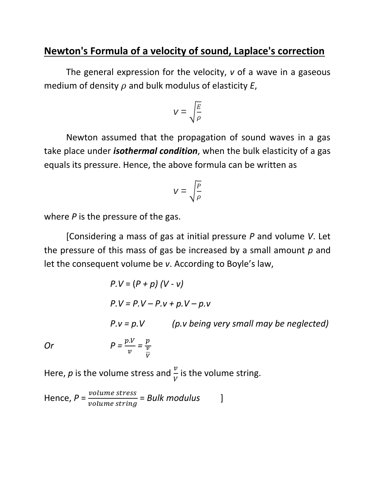## **Newton's Formula of a velocity of sound, Laplace's correction**

The general expression for the velocity, *v* of a wave in a gaseous medium of density  $\rho$  and bulk modulus of elasticity  $E$ ,

$$
V = \sqrt{\frac{E}{\rho}}
$$

Newton assumed that the propagation of sound waves in a gas take place under *isothermal condition*, when the bulk elasticity of a gas equals its pressure. Hence, the above formula can be written as

$$
V = \sqrt{\frac{P}{\rho}}
$$

where *P* is the pressure of the gas.

[Considering a mass of gas at initial pressure *P* and volume *V*. Let the pressure of this mass of gas be increased by a small amount *p* and let the consequent volume be *v*. According to Boyle's law,

$$
P.V = (P + p) (V - v)
$$
  
P.V = P.V - P.V + p.V - p.v  
P.V = p.V (p.v being very small may be neglected)  
Or  

$$
P = \frac{p.V}{v} = \frac{p}{v}
$$

Here,  $p$  is the volume stress and  $\frac{v}{V}$  is the volume string.

Hence, 
$$
P = \frac{volume \ stress}{volume \ string} = Bulk modulus
$$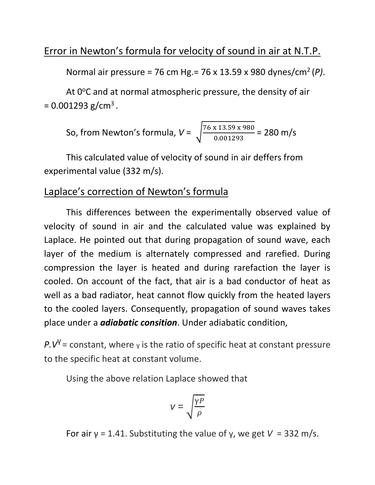## Error in Newton's formula for velocity of sound in air at N.T.P.

Normal air pressure = 76 cm Hg.= 76 x 13.59 x 980 dynes/cm<sup>2</sup> (*P)*.

At  $0^{\circ}$ C and at normal atmospheric pressure, the density of air  $= 0.001293$  g/cm<sup>3</sup>.

So, from Newton's formula, 
$$
V = \sqrt{\frac{76 \times 13.59 \times 980}{0.001293}} = 280 \text{ m/s}
$$

This calculated value of velocity of sound in air deffers from experimental value (332 m/s).

## Laplace's correction of Newton's formula

This differences between the experimentally observed value of velocity of sound in air and the calculated value was explained by Laplace. He pointed out that during propagation of sound wave, each layer of the medium is alternately compressed and rarefied. During compression the layer is heated and during rarefaction the layer is cooled. On account of the fact, that air is a bad conductor of heat as well as a bad radiator, heat cannot flow quickly from the heated layers to the cooled layers. Consequently, propagation of sound waves takes place under a *adiabatic consition*. Under adiabatic condition,

*P.V*<sup>Y</sup> = constant, where <sub>Y</sub> is the ratio of specific heat at constant pressure to the specific heat at constant volume.

Using the above relation Laplace showed that

$$
V = \sqrt{\frac{\gamma P}{\rho}}
$$

For air  $γ = 1.41$ . Substituting the value of  $γ$ , we get  $V = 332$  m/s.